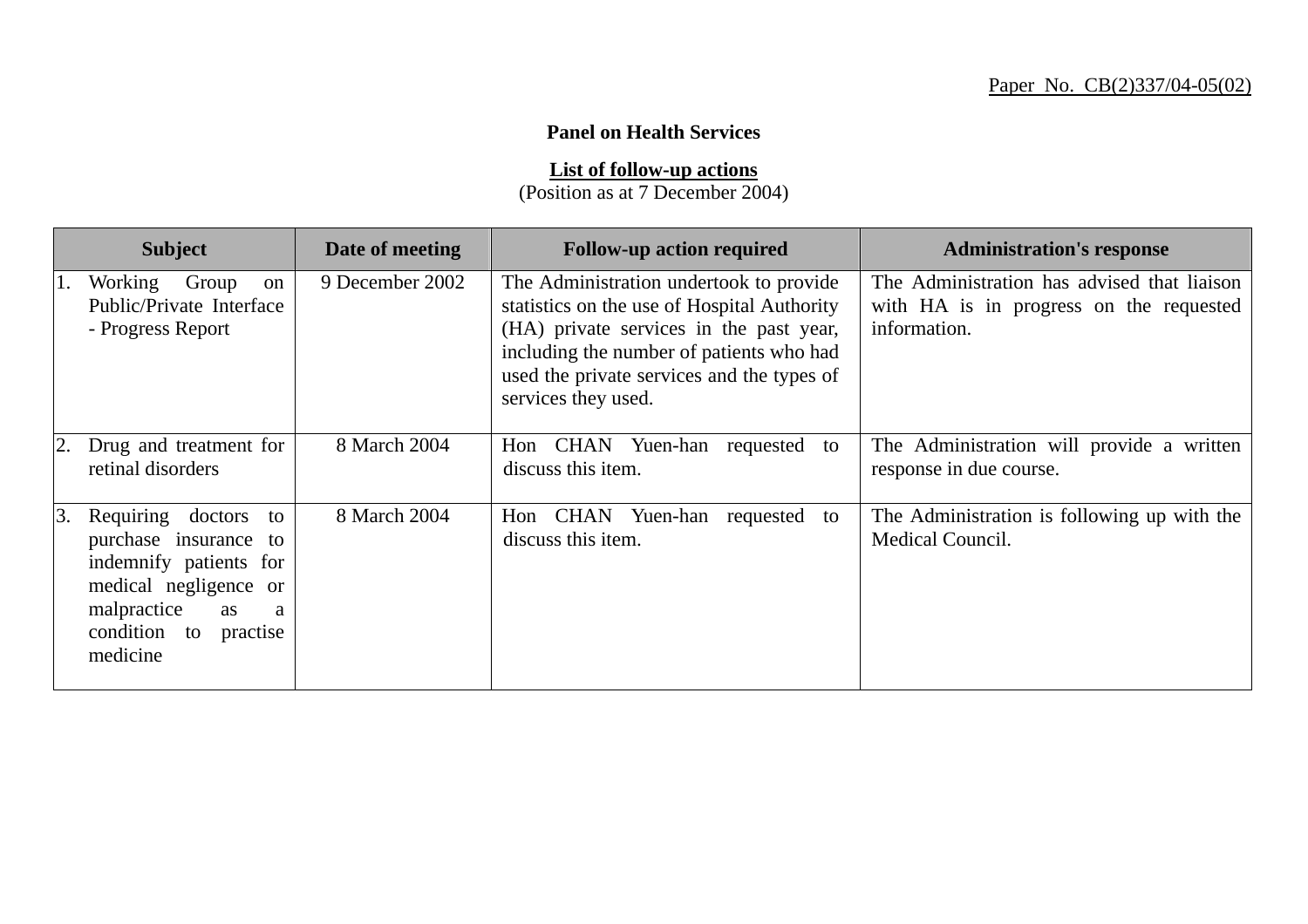## **Panel on Health Services**

**List of follow-up actions**

(Position as at 7 December 2004)

|    | <b>Subject</b>                                                                                                                                                        | Date of meeting | <b>Follow-up action required</b>                                                                                                                                                                                                                   | <b>Administration's response</b>                                                                       |
|----|-----------------------------------------------------------------------------------------------------------------------------------------------------------------------|-----------------|----------------------------------------------------------------------------------------------------------------------------------------------------------------------------------------------------------------------------------------------------|--------------------------------------------------------------------------------------------------------|
| 1. | Working<br>Group<br>on<br>Public/Private Interface<br>- Progress Report                                                                                               | 9 December 2002 | The Administration undertook to provide<br>statistics on the use of Hospital Authority<br>(HA) private services in the past year,<br>including the number of patients who had<br>used the private services and the types of<br>services they used. | The Administration has advised that liaison<br>with HA is in progress on the requested<br>information. |
|    | Drug and treatment for<br>retinal disorders                                                                                                                           | 8 March 2004    | Hon CHAN Yuen-han requested<br>to<br>discuss this item.                                                                                                                                                                                            | The Administration will provide a written<br>response in due course.                                   |
| 3. | Requiring<br>doctors to<br>purchase insurance to<br>indemnify patients for<br>medical negligence or<br>malpractice<br>as<br>a<br>condition to<br>practise<br>medicine | 8 March 2004    | Hon CHAN Yuen-han requested<br>to<br>discuss this item.                                                                                                                                                                                            | The Administration is following up with the<br>Medical Council.                                        |